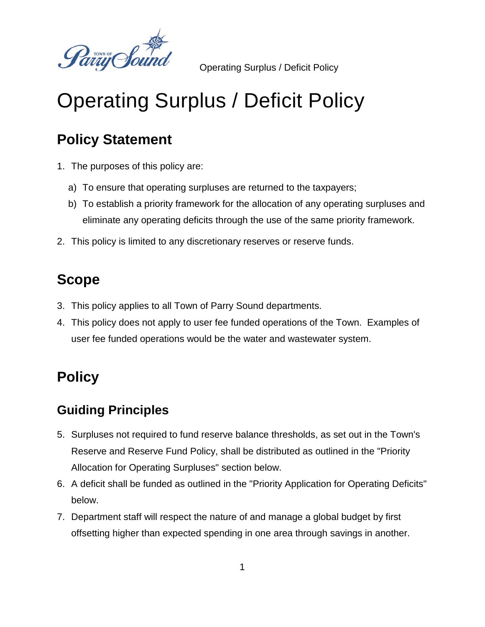

Operating Surplus / Deficit Policy

# Operating Surplus / Deficit Policy

## **Policy Statement**

- 1. The purposes of this policy are:
	- a) To ensure that operating surpluses are returned to the taxpayers;
	- b) To establish a priority framework for the allocation of any operating surpluses and eliminate any operating deficits through the use of the same priority framework.
- 2. This policy is limited to any discretionary reserves or reserve funds.

### **Scope**

- 3. This policy applies to all Town of Parry Sound departments.
- 4. This policy does not apply to user fee funded operations of the Town. Examples of user fee funded operations would be the water and wastewater system.

# **Policy**

#### **Guiding Principles**

- 5. Surpluses not required to fund reserve balance thresholds, as set out in the Town's Reserve and Reserve Fund Policy, shall be distributed as outlined in the "Priority Allocation for Operating Surpluses" section below.
- 6. A deficit shall be funded as outlined in the "Priority Application for Operating Deficits" below.
- 7. Department staff will respect the nature of and manage a global budget by first offsetting higher than expected spending in one area through savings in another.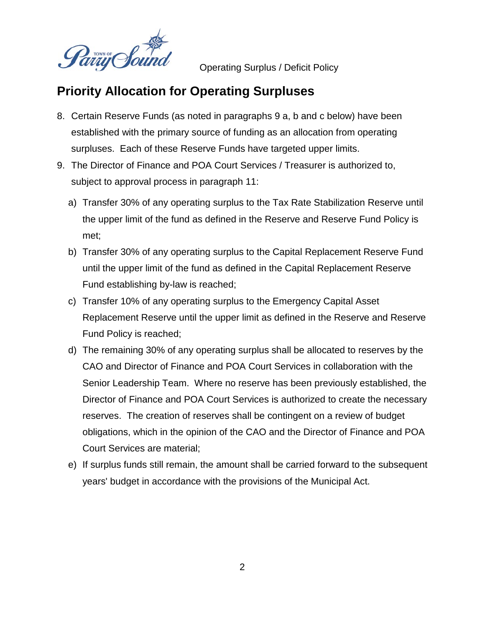

Operating Surplus / Deficit Policy

#### **Priority Allocation for Operating Surpluses**

- 8. Certain Reserve Funds (as noted in paragraphs 9 a, b and c below) have been established with the primary source of funding as an allocation from operating surpluses. Each of these Reserve Funds have targeted upper limits.
- 9. The Director of Finance and POA Court Services / Treasurer is authorized to, subject to approval process in paragraph 11:
	- a) Transfer 30% of any operating surplus to the Tax Rate Stabilization Reserve until the upper limit of the fund as defined in the Reserve and Reserve Fund Policy is met;
	- b) Transfer 30% of any operating surplus to the Capital Replacement Reserve Fund until the upper limit of the fund as defined in the Capital Replacement Reserve Fund establishing by-law is reached;
	- c) Transfer 10% of any operating surplus to the Emergency Capital Asset Replacement Reserve until the upper limit as defined in the Reserve and Reserve Fund Policy is reached;
	- d) The remaining 30% of any operating surplus shall be allocated to reserves by the CAO and Director of Finance and POA Court Services in collaboration with the Senior Leadership Team. Where no reserve has been previously established, the Director of Finance and POA Court Services is authorized to create the necessary reserves. The creation of reserves shall be contingent on a review of budget obligations, which in the opinion of the CAO and the Director of Finance and POA Court Services are material;
	- e) If surplus funds still remain, the amount shall be carried forward to the subsequent years' budget in accordance with the provisions of the Municipal Act.